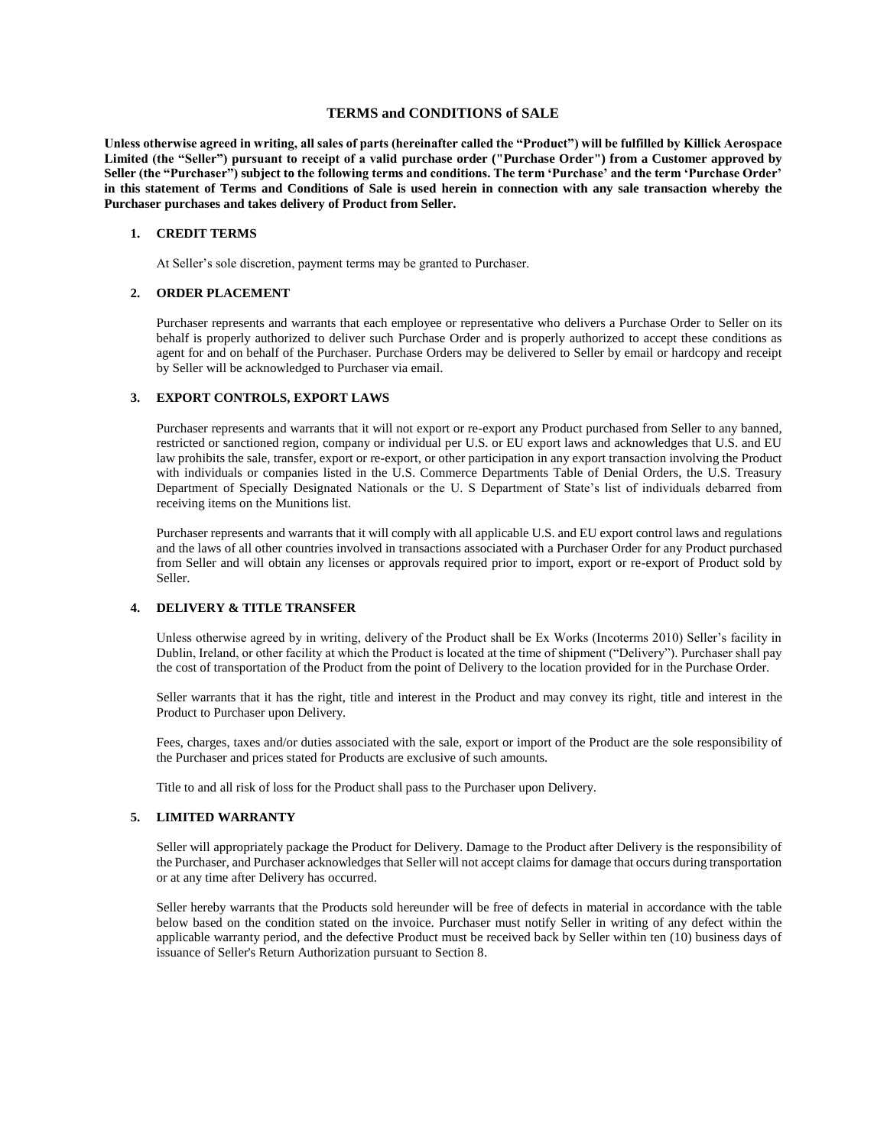# **TERMS and CONDITIONS of SALE**

**Unless otherwise agreed in writing, all sales of parts (hereinafter called the "Product") will be fulfilled by Killick Aerospace Limited (the "Seller") pursuant to receipt of a valid purchase order ("Purchase Order") from a Customer approved by Seller (the "Purchaser") subject to the following terms and conditions. The term 'Purchase' and the term 'Purchase Order' in this statement of Terms and Conditions of Sale is used herein in connection with any sale transaction whereby the Purchaser purchases and takes delivery of Product from Seller.** 

#### **1. CREDIT TERMS**

At Seller's sole discretion, payment terms may be granted to Purchaser.

# **2. ORDER PLACEMENT**

Purchaser represents and warrants that each employee or representative who delivers a Purchase Order to Seller on its behalf is properly authorized to deliver such Purchase Order and is properly authorized to accept these conditions as agent for and on behalf of the Purchaser. Purchase Orders may be delivered to Seller by email or hardcopy and receipt by Seller will be acknowledged to Purchaser via email.

## **3. EXPORT CONTROLS, EXPORT LAWS**

Purchaser represents and warrants that it will not export or re-export any Product purchased from Seller to any banned, restricted or sanctioned region, company or individual per U.S. or EU export laws and acknowledges that U.S. and EU law prohibits the sale, transfer, export or re-export, or other participation in any export transaction involving the Product with individuals or companies listed in the U.S. Commerce Departments Table of Denial Orders, the U.S. Treasury Department of Specially Designated Nationals or the U. S Department of State's list of individuals debarred from receiving items on the Munitions list.

Purchaser represents and warrants that it will comply with all applicable U.S. and EU export control laws and regulations and the laws of all other countries involved in transactions associated with a Purchaser Order for any Product purchased from Seller and will obtain any licenses or approvals required prior to import, export or re-export of Product sold by Seller.

# **4. DELIVERY & TITLE TRANSFER**

Unless otherwise agreed by in writing, delivery of the Product shall be Ex Works (Incoterms 2010) Seller's facility in Dublin, Ireland, or other facility at which the Product is located at the time of shipment ("Delivery"). Purchaser shall pay the cost of transportation of the Product from the point of Delivery to the location provided for in the Purchase Order.

Seller warrants that it has the right, title and interest in the Product and may convey its right, title and interest in the Product to Purchaser upon Delivery.

Fees, charges, taxes and/or duties associated with the sale, export or import of the Product are the sole responsibility of the Purchaser and prices stated for Products are exclusive of such amounts.

Title to and all risk of loss for the Product shall pass to the Purchaser upon Delivery.

#### **5. LIMITED WARRANTY**

Seller will appropriately package the Product for Delivery. Damage to the Product after Delivery is the responsibility of the Purchaser, and Purchaser acknowledges that Seller will not accept claims for damage that occurs during transportation or at any time after Delivery has occurred.

Seller hereby warrants that the Products sold hereunder will be free of defects in material in accordance with the table below based on the condition stated on the invoice. Purchaser must notify Seller in writing of any defect within the applicable warranty period, and the defective Product must be received back by Seller within ten (10) business days of issuance of Seller's Return Authorization pursuant to Section 8.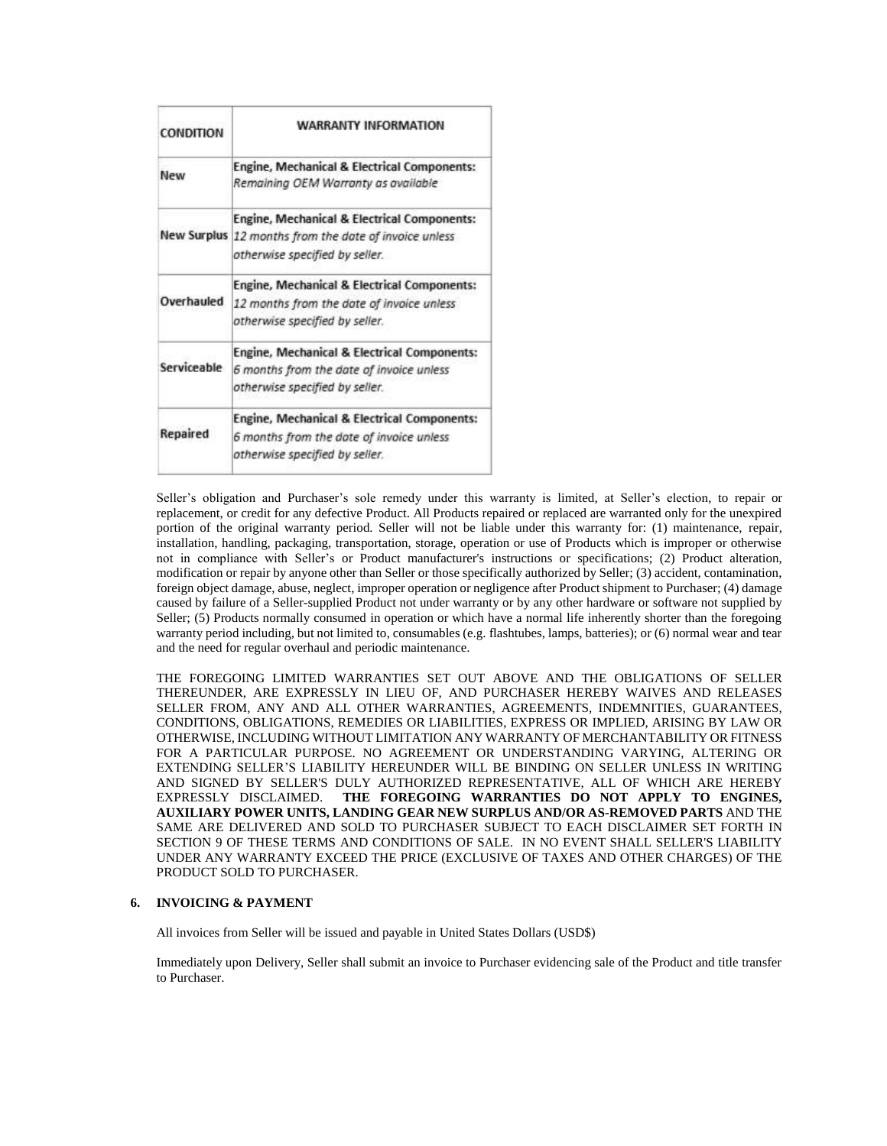| <b>CONDITION</b> | <b>WARRANTY INFORMATION</b>                                                                                                                       |
|------------------|---------------------------------------------------------------------------------------------------------------------------------------------------|
| New              | Engine, Mechanical & Electrical Components:<br>Remaining OEM Warranty as available                                                                |
|                  | <b>Engine, Mechanical &amp; Electrical Components:</b><br>New Surplus 12 months from the date of invoice unless<br>otherwise specified by seller. |
| Overhauled       | Engine, Mechanical & Electrical Components:<br>12 months from the date of invoice unless<br>otherwise specified by seller.                        |
| Serviceable      | Engine, Mechanical & Electrical Components:<br>6 months from the date of invoice unless<br>otherwise specified by seller.                         |
| Repaired         | Engine, Mechanical & Electrical Components:<br>6 months from the date of invoice unless<br>otherwise specified by seller.                         |

Seller's obligation and Purchaser's sole remedy under this warranty is limited, at Seller's election, to repair or replacement, or credit for any defective Product. All Products repaired or replaced are warranted only for the unexpired portion of the original warranty period. Seller will not be liable under this warranty for: (1) maintenance, repair, installation, handling, packaging, transportation, storage, operation or use of Products which is improper or otherwise not in compliance with Seller's or Product manufacturer's instructions or specifications; (2) Product alteration, modification or repair by anyone other than Seller or those specifically authorized by Seller; (3) accident, contamination, foreign object damage, abuse, neglect, improper operation or negligence after Product shipment to Purchaser; (4) damage caused by failure of a Seller-supplied Product not under warranty or by any other hardware or software not supplied by Seller; (5) Products normally consumed in operation or which have a normal life inherently shorter than the foregoing warranty period including, but not limited to, consumables (e.g. flashtubes, lamps, batteries); or (6) normal wear and tear and the need for regular overhaul and periodic maintenance.

THE FOREGOING LIMITED WARRANTIES SET OUT ABOVE AND THE OBLIGATIONS OF SELLER THEREUNDER, ARE EXPRESSLY IN LIEU OF, AND PURCHASER HEREBY WAIVES AND RELEASES SELLER FROM, ANY AND ALL OTHER WARRANTIES, AGREEMENTS, INDEMNITIES, GUARANTEES, CONDITIONS, OBLIGATIONS, REMEDIES OR LIABILITIES, EXPRESS OR IMPLIED, ARISING BY LAW OR OTHERWISE, INCLUDING WITHOUT LIMITATION ANY WARRANTY OF MERCHANTABILITY OR FITNESS FOR A PARTICULAR PURPOSE. NO AGREEMENT OR UNDERSTANDING VARYING, ALTERING OR EXTENDING SELLER'S LIABILITY HEREUNDER WILL BE BINDING ON SELLER UNLESS IN WRITING AND SIGNED BY SELLER'S DULY AUTHORIZED REPRESENTATIVE, ALL OF WHICH ARE HEREBY EXPRESSLY DISCLAIMED. **THE FOREGOING WARRANTIES DO NOT APPLY TO ENGINES, AUXILIARY POWER UNITS, LANDING GEAR NEW SURPLUS AND/OR AS-REMOVED PARTS** AND THE SAME ARE DELIVERED AND SOLD TO PURCHASER SUBJECT TO EACH DISCLAIMER SET FORTH IN SECTION 9 OF THESE TERMS AND CONDITIONS OF SALE. IN NO EVENT SHALL SELLER'S LIABILITY UNDER ANY WARRANTY EXCEED THE PRICE (EXCLUSIVE OF TAXES AND OTHER CHARGES) OF THE PRODUCT SOLD TO PURCHASER.

## **6. INVOICING & PAYMENT**

All invoices from Seller will be issued and payable in United States Dollars (USD\$)

Immediately upon Delivery, Seller shall submit an invoice to Purchaser evidencing sale of the Product and title transfer to Purchaser.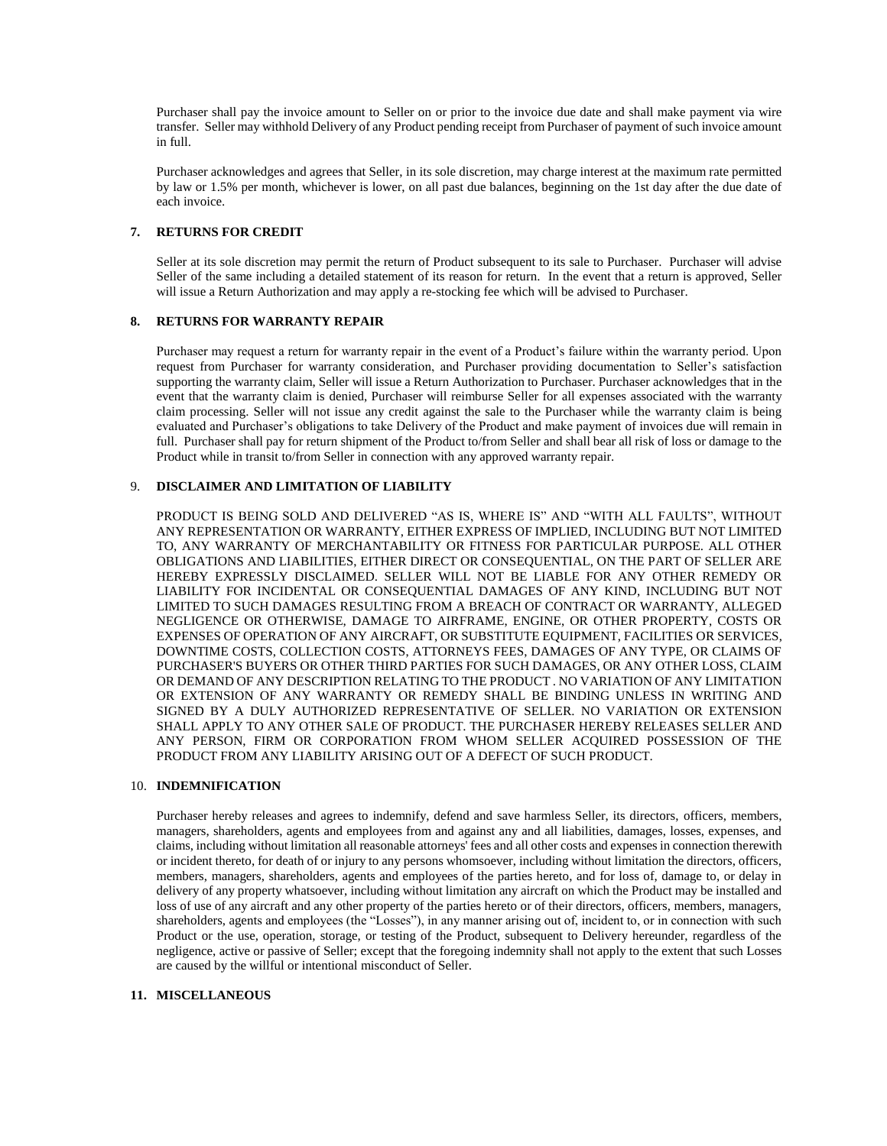Purchaser shall pay the invoice amount to Seller on or prior to the invoice due date and shall make payment via wire transfer. Seller may withhold Delivery of any Product pending receipt from Purchaser of payment of such invoice amount in full.

Purchaser acknowledges and agrees that Seller, in its sole discretion, may charge interest at the maximum rate permitted by law or 1.5% per month, whichever is lower, on all past due balances, beginning on the 1st day after the due date of each invoice.

## **7. RETURNS FOR CREDIT**

Seller at its sole discretion may permit the return of Product subsequent to its sale to Purchaser. Purchaser will advise Seller of the same including a detailed statement of its reason for return. In the event that a return is approved, Seller will issue a Return Authorization and may apply a re-stocking fee which will be advised to Purchaser.

## **8. RETURNS FOR WARRANTY REPAIR**

Purchaser may request a return for warranty repair in the event of a Product's failure within the warranty period. Upon request from Purchaser for warranty consideration, and Purchaser providing documentation to Seller's satisfaction supporting the warranty claim, Seller will issue a Return Authorization to Purchaser. Purchaser acknowledges that in the event that the warranty claim is denied, Purchaser will reimburse Seller for all expenses associated with the warranty claim processing. Seller will not issue any credit against the sale to the Purchaser while the warranty claim is being evaluated and Purchaser's obligations to take Delivery of the Product and make payment of invoices due will remain in full. Purchaser shall pay for return shipment of the Product to/from Seller and shall bear all risk of loss or damage to the Product while in transit to/from Seller in connection with any approved warranty repair.

# 9. **DISCLAIMER AND LIMITATION OF LIABILITY**

PRODUCT IS BEING SOLD AND DELIVERED "AS IS, WHERE IS" AND "WITH ALL FAULTS", WITHOUT ANY REPRESENTATION OR WARRANTY, EITHER EXPRESS OF IMPLIED, INCLUDING BUT NOT LIMITED TO, ANY WARRANTY OF MERCHANTABILITY OR FITNESS FOR PARTICULAR PURPOSE. ALL OTHER OBLIGATIONS AND LIABILITIES, EITHER DIRECT OR CONSEQUENTIAL, ON THE PART OF SELLER ARE HEREBY EXPRESSLY DISCLAIMED. SELLER WILL NOT BE LIABLE FOR ANY OTHER REMEDY OR LIABILITY FOR INCIDENTAL OR CONSEQUENTIAL DAMAGES OF ANY KIND, INCLUDING BUT NOT LIMITED TO SUCH DAMAGES RESULTING FROM A BREACH OF CONTRACT OR WARRANTY, ALLEGED NEGLIGENCE OR OTHERWISE, DAMAGE TO AIRFRAME, ENGINE, OR OTHER PROPERTY, COSTS OR EXPENSES OF OPERATION OF ANY AIRCRAFT, OR SUBSTITUTE EQUIPMENT, FACILITIES OR SERVICES, DOWNTIME COSTS, COLLECTION COSTS, ATTORNEYS FEES, DAMAGES OF ANY TYPE, OR CLAIMS OF PURCHASER'S BUYERS OR OTHER THIRD PARTIES FOR SUCH DAMAGES, OR ANY OTHER LOSS, CLAIM OR DEMAND OF ANY DESCRIPTION RELATING TO THE PRODUCT . NO VARIATION OF ANY LIMITATION OR EXTENSION OF ANY WARRANTY OR REMEDY SHALL BE BINDING UNLESS IN WRITING AND SIGNED BY A DULY AUTHORIZED REPRESENTATIVE OF SELLER. NO VARIATION OR EXTENSION SHALL APPLY TO ANY OTHER SALE OF PRODUCT. THE PURCHASER HEREBY RELEASES SELLER AND ANY PERSON, FIRM OR CORPORATION FROM WHOM SELLER ACQUIRED POSSESSION OF THE PRODUCT FROM ANY LIABILITY ARISING OUT OF A DEFECT OF SUCH PRODUCT.

#### 10. **INDEMNIFICATION**

Purchaser hereby releases and agrees to indemnify, defend and save harmless Seller, its directors, officers, members, managers, shareholders, agents and employees from and against any and all liabilities, damages, losses, expenses, and claims, including without limitation all reasonable attorneys' fees and all other costs and expenses in connection therewith or incident thereto, for death of or injury to any persons whomsoever, including without limitation the directors, officers, members, managers, shareholders, agents and employees of the parties hereto, and for loss of, damage to, or delay in delivery of any property whatsoever, including without limitation any aircraft on which the Product may be installed and loss of use of any aircraft and any other property of the parties hereto or of their directors, officers, members, managers, shareholders, agents and employees (the "Losses"), in any manner arising out of, incident to, or in connection with such Product or the use, operation, storage, or testing of the Product, subsequent to Delivery hereunder, regardless of the negligence, active or passive of Seller; except that the foregoing indemnity shall not apply to the extent that such Losses are caused by the willful or intentional misconduct of Seller.

# **11. MISCELLANEOUS**